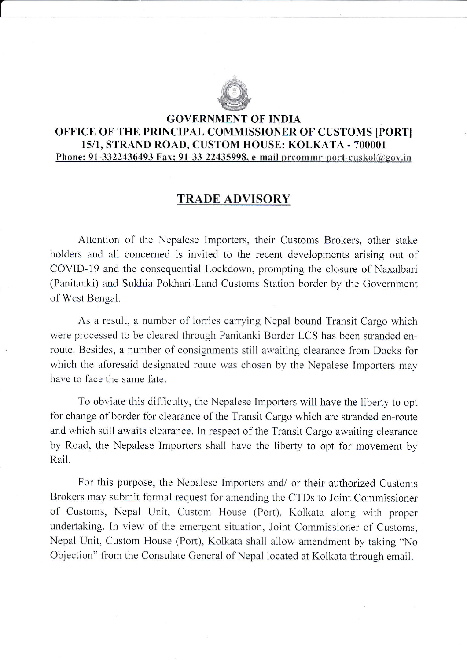

t

## GOVERNMENT OF INDIA OFFICE OF THE PRINCIPAL COMMISSIONER OF CUSTOMS [PORT] t5/I, STRAND ROAD, CUSTOM HOUSE: KOLKATA - 700001 Phone: 91-3322436493 Fax; 91-33-22435998, e-mail preommr-port-cuskol@gov.in

## TRADE ADVISORY

Attention of the Nepalese lmporters, their Customs Brokers, other stake holders and all concerned is invited to the recent developments arising out of COVID-19 and the consequential Lockdown, prompting the closure of Naxalbari (Panitanki) and Sukhia Pokhari .Land Customs Station border by the Govemment of West Bengal.

As a result, a number of lorries carrying Nepal bound Transit Cargo which were processed to be cleared through Panitanki Border LCS has been stranded enroute. Besides, a number of consignments still awaiting clearance from Docks for which the aforesaid designated route was chosen by the Nepalese Importers may have to face the same fate.

To obviate this difficulty, the Nepalese Importers will have the liberty to opt for change of border for clearance of the Transit Cargo which are stranded en-route and which still awaits clearance. In respect of the Transit Cargo awaiting clearance by Road, the Nepalese Importers shall have the liberty to opt for movement by Rail.

For this purpose, the Nepalese Importers and/ or their authorized Customs Brokers may submit formal request for amending the CTDs to Joint Commissioner of Customs, Nepal Unit, Custom House (Port), Kolkata along with proper undertaking. In view of the emergent situation, Joint Commissioner of Customs, Nepal Unit, Custom House (Port), Kolkata shall allow amendment by taking "No Objection" from the Consulate General of Nepal located at Kolkata through email.